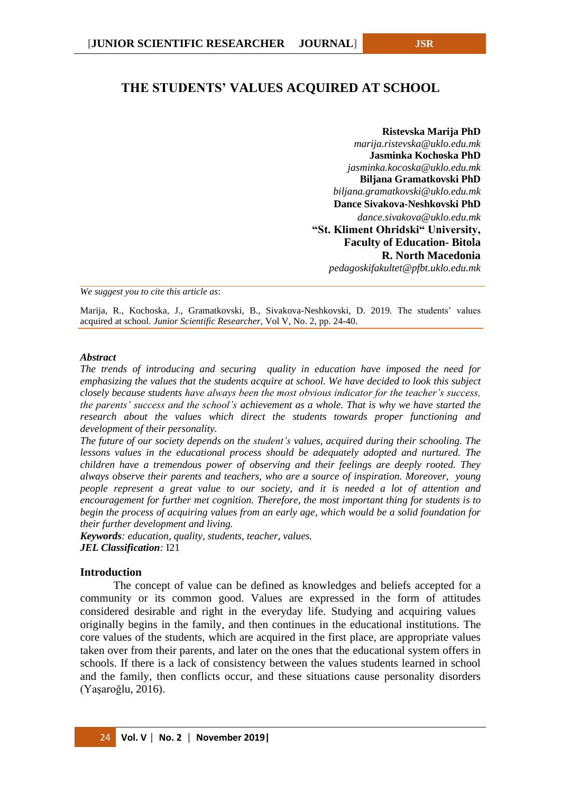# **THE STUDENTS' VALUES ACQUIRED AT SCHOOL**

**Ristevska Marija PhD**  *marija.ristevska@uklo.edu.mk* **Jasminka Kochoska PhD**  *jasminka.kocoska@uklo.edu.mk* **Biljana Gramatkovski PhD** *biljana.gramatkovski@uklo.edu.mk* **Dance Sivakova-Neshkovski PhD** *dance.sivakova@uklo.edu.mk* **"St. Kliment Ohridski" University, Faculty of Education- Bitola R. North Macedonia** *pedagoskifakultet@pfbt.uklo.edu.mk*

*We suggest you to cite this article as*:

Marija, R., Kochoska, J., Gramatkovski, B., Sivakova-Neshkovski, D. 2019. The students' values acquired at school. *Junior Scientific Researcher*, Vol V, No. 2, pp. 24-40.

#### *Abstract*

*The trends of introducing and securing quality in education have imposed the need for emphasizing the values that the students acquire at school. We have decided to look this subject closely because students have always been the most obvious indicator for the teacher's success, the parents' success and the school's achievement as a whole. That is why we have started the research about the values which direct the students towards proper functioning and development of their personality.*

*The future of our society depends on the student's values, acquired during their schooling. The*  lessons values in the educational process should be adequately adopted and nurtured. The *children have a tremendous power of observing and their feelings are deeply rooted. They always observe their parents and teachers, who are a source of inspiration. Moreover, young people represent a great value to our society, and it is needed a lot of attention and encouragement for further met cognition. Therefore, the most important thing for students is to begin the process of acquiring values from an early age, which would be a solid foundation for their further development and living.*

*Keywords: education, quality, students, teacher, values. JEL Classification:* I21

### **Introduction**

The concept of value can be defined as knowledges and beliefs accepted for a community or its common good. Values are expressed in the form of attitudes considered desirable and right in the everyday life. Studying and acquiring values originally begins in the family, and then continues in the educational institutions. The core values of the students, which are acquired in the first place, are appropriate values taken over from their parents, and later on the ones that the educational system offers in schools. If there is a lack of consistency between the values students learned in school and the family, then conflicts occur, and these situations cause personality disorders (Yaşaroğlu, 2016).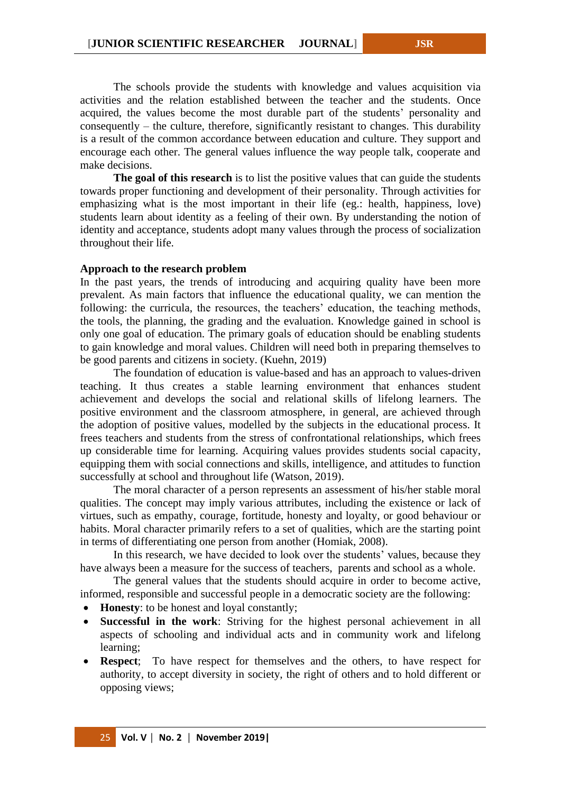The schools provide the students with knowledge and values acquisition via activities and the relation established between the teacher and the students. Once acquired, the values become the most durable part of the students' personality and consequently – the culture, therefore, significantly resistant to changes. This durability is a result of the common accordance between education and culture. They support and encourage each other. The general values influence the way people talk, cooperate and make decisions.

**The goal of this research** is to list the positive values that can guide the students towards proper functioning and development of their personality. Through activities for emphasizing what is the most important in their life (eg.: health, happiness, love) students learn about identity as a feeling of their own. By understanding the notion of identity and acceptance, students adopt many values through the process of socialization throughout their life.

#### **Approach to the research problem**

In the past years, the trends of introducing and acquiring quality have been more prevalent. As main factors that influence the educational quality, we can mention the following: the curricula, the resources, the teachers' education, the teaching methods, the tools, the planning, the grading and the evaluation. Knowledge gained in school is only one goal of education. The primary goals of education should be enabling students to gain knowledge and moral values. Children will need both in preparing themselves to be good parents and citizens in society. (Kuehn, 2019)

The foundation of education is value-based and has an approach to values-driven teaching. It thus creates a stable learning environment that enhances student achievement and develops the social and relational skills of lifelong learners. The positive environment and the classroom atmosphere, in general, are achieved through the adoption of positive values, modelled by the subjects in the educational process. It frees teachers and students from the stress of confrontational relationships, which frees up considerable time for learning. Acquiring values provides students social capacity, equipping them with social connections and skills, intelligence, and attitudes to function successfully at school and throughout life (Watson, 2019).

The moral character of a person represents an assessment of his/her stable moral qualities. The concept may imply various attributes, including the existence or lack of virtues, such as empathy, courage, fortitude, honesty and loyalty, or good behaviour or habits. Moral character primarily refers to a set of qualities, which are the starting point in terms of differentiating one person from another (Homiak, 2008).

In this research, we have decided to look over the students' values, because they have always been a measure for the success of teachers, parents and school as a whole.

The general values that the students should acquire in order to become active, informed, responsible and successful people in a democratic society are the following:

- **Honesty**: to be honest and loyal constantly;
- **Successful in the work**: Striving for the highest personal achievement in all aspects of schooling and individual acts and in community work and lifelong learning;
- **Respect**; To have respect for themselves and the others, to have respect for authority, to accept diversity in society, the right of others and to hold different or opposing views;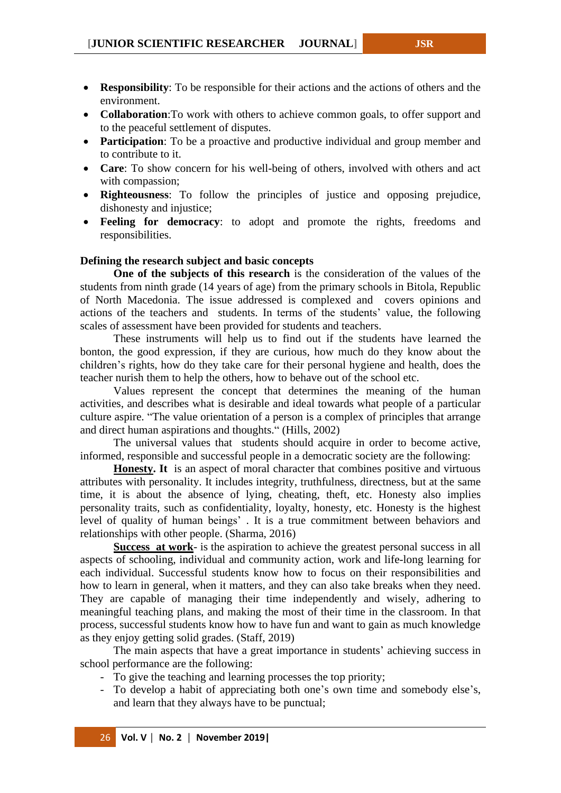- **Responsibility**: To be responsible for their actions and the actions of others and the environment.
- **Collaboration**:To work with others to achieve common goals, to offer support and to the peaceful settlement of disputes.
- **Participation**: To be a proactive and productive individual and group member and to contribute to it.
- **Care**: To show concern for his well-being of others, involved with others and act with compassion;
- **Righteousness**: To follow the principles of justice and opposing prejudice, dishonesty and injustice;
- **Feeling for democracy**: to adopt and promote the rights, freedoms and responsibilities.

### **Defining the research subject and basic concepts**

**One of the subjects of this research** is the consideration of the values of the students from ninth grade (14 years of age) from the primary schools in Bitola, Republic of North Macedonia. The issue addressed is complexed and covers opinions and actions of the teachers and students. In terms of the students' value, the following scales of assessment have been provided for students and teachers.

These instruments will help us to find out if the students have learned the bonton, the good expression, if they are curious, how much do they know about the children's rights, how do they take care for their personal hygiene and health, does the teacher nurish them to help the others, how to behave out of the school etc.

Values represent the concept that determines the meaning of the human activities, and describes what is desirable and ideal towards what people of a particular culture aspire. "The value orientation of a person is a complex of principles that arrange and direct human aspirations and thoughts." (Hills, 2002)

The universal values that students should acquire in order to become active, informed, responsible and successful people in a democratic society are the following:

**Honesty. It** is an aspect of moral character that combines positive and virtuous attributes with personality. It includes integrity, truthfulness, directness, but at the same time, it is about the absence of lying, cheating, theft, etc. Honesty also implies personality traits, such as confidentiality, loyalty, honesty, etc. Honesty is the highest level of quality of human beings' . It is a true commitment between behaviors and relationships with other people. (Sharma, 2016)

**Success at work**- is the aspiration to achieve the greatest personal success in all aspects of schooling, individual and community action, work and life-long learning for each individual. Successful students know how to focus on their responsibilities and how to learn in general, when it matters, and they can also take breaks when they need. They are capable of managing their time independently and wisely, adhering to meaningful teaching plans, and making the most of their time in the classroom. In that process, successful students know how to have fun and want to gain as much knowledge as they enjoy getting solid grades. (Staff, 2019)

The main aspects that have a great importance in students' achieving success in school performance are the following:

- To give the teaching and learning processes the top priority;
- To develop a habit of appreciating both one's own time and somebody else's, and learn that they always have to be punctual;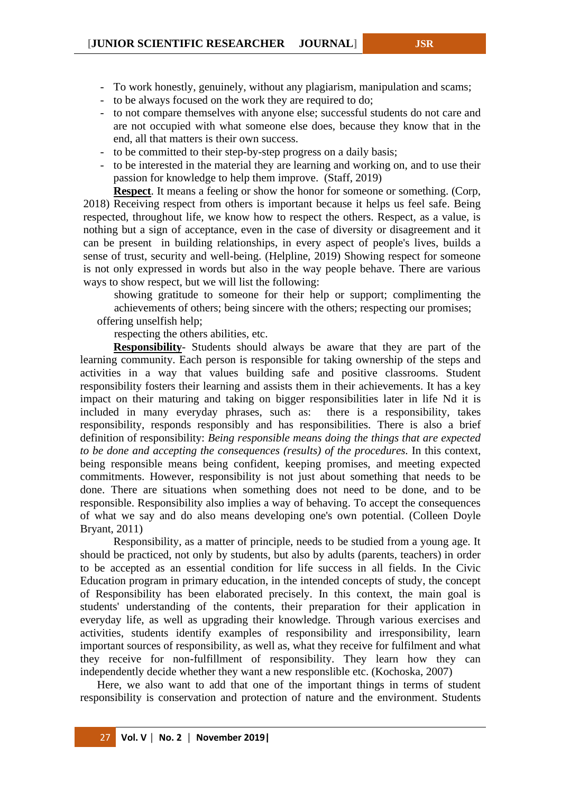- To work honestly, genuinely, without any plagiarism, manipulation and scams;
- to be always focused on the work they are required to do;
- to not compare themselves with anyone else; successful students do not care and are not occupied with what someone else does, because they know that in the end, all that matters is their own success.
- to be committed to their step-by-step progress on a daily basis;
- to be interested in the material they are learning and working on, and to use their passion for knowledge to help them improve. (Staff, 2019)

**Respect**. It means a feeling or show the honor for someone or something. (Corp, 2018) Receiving respect from others is important because it helps us feel safe. Being respected, throughout life, we know how to respect the others. Respect, as a value, is nothing but a sign of acceptance, even in the case of diversity or disagreement and it can be present in building relationships, in every aspect of people's lives, builds a sense of trust, security and well-being. (Helpline, 2019) Showing respect for someone is not only expressed in words but also in the way people behave. There are various ways to show respect, but we will list the following:

showing gratitude to someone for their help or support; complimenting the achievements of others; being sincere with the others; respecting our promises;

offering unselfish help;

respecting the others abilities, etc.

**Responsibility**- Students should always be aware that they are part of the learning community. Each person is responsible for taking ownership of the steps and activities in a way that values building safe and positive classrooms. Student responsibility fosters their learning and assists them in their achievements. It has a key impact on their maturing and taking on bigger responsibilities later in life Nd it is included in many everyday phrases, such as: there is a responsibility, takes responsibility, responds responsibly and has responsibilities. There is also a brief definition of responsibility: *Being responsible means doing the things that are expected to be done and accepting the consequences (results) of the procedures.* In this context, being responsible means being confident, keeping promises, and meeting expected commitments. However, responsibility is not just about something that needs to be done. There are situations when something does not need to be done, and to be responsible. Responsibility also implies a way of behaving. To accept the consequences of what we say and do also means developing one's own potential. (Colleen Doyle Bryant, 2011)

Responsibility, as a matter of principle, needs to be studied from a young age. It should be practiced, not only by students, but also by adults (parents, teachers) in order to be accepted as an essential condition for life success in all fields. In the Civic Education program in primary education, in the intended concepts of study, the concept of Responsibility has been elaborated precisely. In this context, the main goal is students' understanding of the contents, their preparation for their application in everyday life, as well as upgrading their knowledge. Тhrough various exercises and activities, students identify examples of responsibility and irresponsibility, learn important sources of responsibility, as well as, what they receive for fulfilment and what they receive for non-fulfillment of responsibility. They learn how they can independently decide whether they want a new responslible etc. (Kochoska, 2007)

Here, we also want to add that one of the important things in terms of student responsibility is conservation and protection of nature and the environment. Students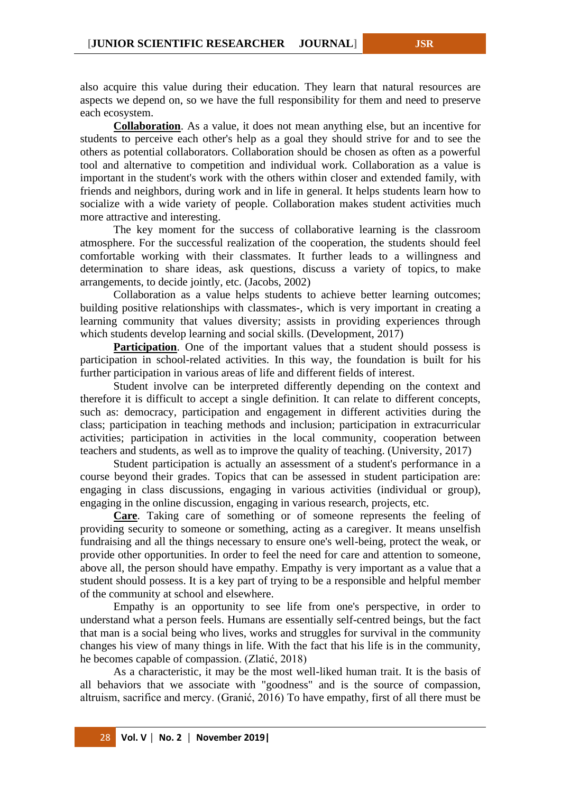also acquire this value during their education. They learn that natural resources are aspects we depend on, so we have the full responsibility for them and need to preserve each ecosystem.

**Collaboration**. As a value, it does not mean anything else, but an incentive for students to perceive each other's help as a goal they should strive for and to see the others as potential collaborators. Collaboration should be chosen as often as a powerful tool and alternative to competition and individual work. Collaboration as a value is important in the student's work with the others within closer and extended family, with friends and neighbors, during work and in life in general. It helps students learn how to socialize with a wide variety of people. Collaboration makes student activities much more attractive and interesting.

The key moment for the success of collaborative learning is the classroom atmosphere. For the successful realization of the cooperation, the students should feel comfortable working with their classmates. It further leads to a willingness and determination to share ideas, ask questions, discuss a variety of topics, to make arrangements, to decide jointly, etc. (Jacobs, 2002)

Collaboration as a value helps students to achieve better learning outcomes; building positive relationships with classmates-, which is very important in creating a learning community that values diversity; assists in providing experiences through which students develop learning and social skills. (Development, 2017)

**Participation**. One of the important values that a student should possess is participation in school-related activities. In this way, the foundation is built for his further participation in various areas of life and different fields of interest.

Student involve can be interpreted differently depending on the context and therefore it is difficult to accept a single definition. It can relate to different concepts, such as: democracy, participation and engagement in different activities during the class; participation in teaching methods and inclusion; participation in extracurricular activities; participation in activities in the local community, cooperation between teachers and students, as well as to improve the quality of teaching. (University, 2017)

Student participation is actually an assessment of a student's performance in a course beyond their grades. Topics that can be assessed in student participation are: engaging in class discussions, engaging in various activities (individual or group), engaging in the online discussion, engaging in various research, projects, etc.

**Care**. Taking care of something or of someone represents the feeling of providing security to someone or something, acting as a caregiver. It means unselfish fundraising and all the things necessary to ensure one's well-being, protect the weak, or provide other opportunities. In order to feel the need for care and attention to someone, above all, the person should have empathy. Empathy is very important as a value that a student should possess. It is a key part of trying to be a responsible and helpful member of the community at school and elsewhere.

Empathy is an opportunity to see life from one's perspective, in order to understand what a person feels. Humans are essentially self-centred beings, but the fact that man is a social being who lives, works and struggles for survival in the community changes his view of many things in life. With the fact that his life is in the community, he becomes capable of compassion. (Zlatić, 2018)

As a characteristic, it may be the most well-liked human trait. It is the basis of all behaviors that we associate with "goodness" and is the source of compassion, altruism, sacrifice and mercy. (Granić, 2016) To have empathy, first of all there must be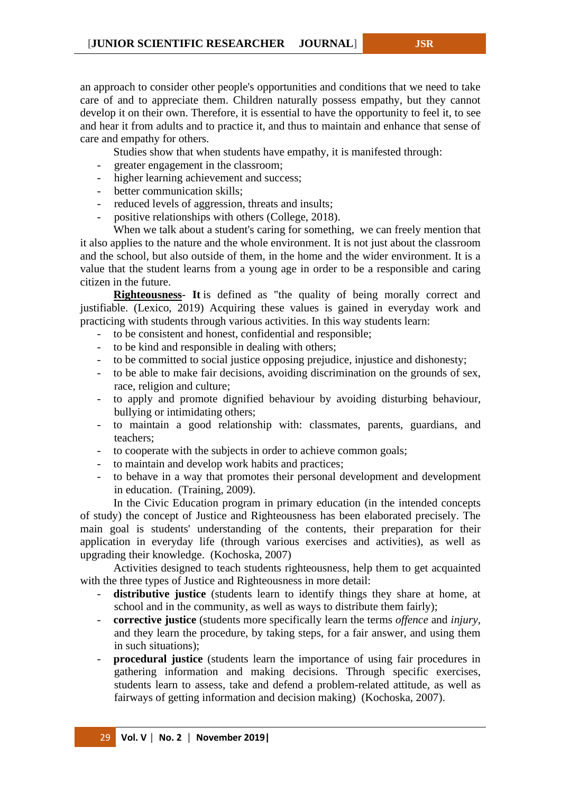an approach to consider other people's opportunities and conditions that we need to take care of and to appreciate them. Children naturally possess empathy, but they cannot develop it on their own. Therefore, it is essential to have the opportunity to feel it, to see and hear it from adults and to practice it, and thus to maintain and enhance that sense of care and empathy for others.

Studies show that when students have empathy, it is manifested through:

- greater engagement in the classroom;
- higher learning achievement and success;
- better communication skills;
- reduced levels of aggression, threats and insults:
- positive relationships with others (College, 2018).

When we talk about a student's caring for something, we can freely mention that it also applies to the nature and the whole environment. It is not just about the classroom and the school, but also outside of them, in the home and the wider environment. It is a value that the student learns from a young age in order to be a responsible and caring citizen in the future.

**Righteousness**- **It** is defined as "the quality of being morally correct and justifiable. (Lexico, 2019) Acquiring these values is gained in everyday work and practicing with students through various activities. In this way students learn:

- to be consistent and honest, confidential and responsible;
- to be kind and responsible in dealing with others;
- to be committed to social justice opposing prejudice, injustice and dishonesty;
- to be able to make fair decisions, avoiding discrimination on the grounds of sex, race, religion and culture;
- to apply and promote dignified behaviour by avoiding disturbing behaviour, bullying or intimidating others;
- to maintain a good relationship with: classmates, parents, guardians, and teachers;
- to cooperate with the subjects in order to achieve common goals;
- to maintain and develop work habits and practices;
- to behave in a way that promotes their personal development and development in education. (Training, 2009).

In the Civic Education program in primary education (in the intended concepts of study) the concept of Justice and Righteousness has been elaborated precisely. The main goal is students' understanding of the contents, their preparation for their application in everyday life (through various exercises and activities), as well as upgrading their knowledge. (Kochoska, 2007)

Activities designed to teach students righteousness, help them to get acquainted with the three types of Justice and Righteousness in more detail:

- distributive justice (students learn to identify things they share at home, at school and in the community, as well as ways to distribute them fairly);
- **corrective justice** (students more specifically learn the terms *offence* and *injury,*  and they learn the procedure, by taking steps, for a fair answer, and using them in such situations);
- **procedural justice** (students learn the importance of using fair procedures in gathering information and making decisions. Through specific exercises, students learn to assess, take and defend a problem-related attitude, as well as fairways of getting information and decision making) (Kochoska, 2007).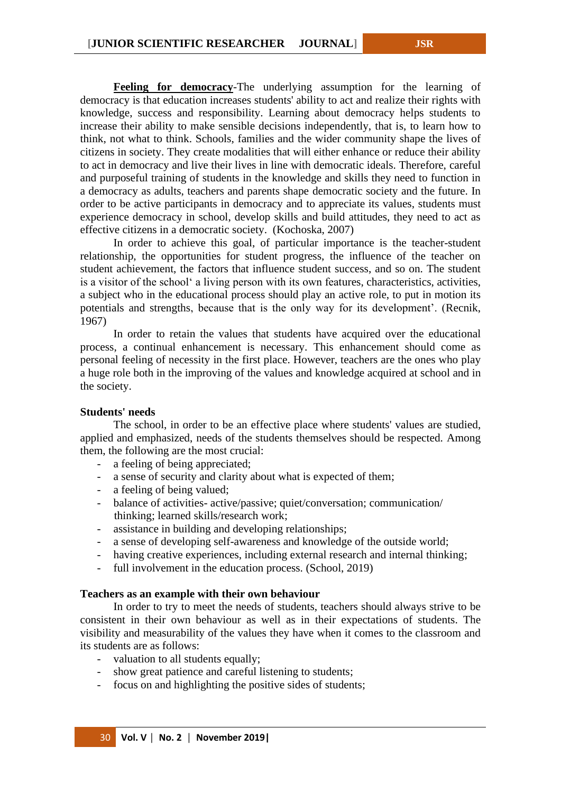**Feeling for democracy**-The underlying assumption for the learning of democracy is that education increases students' ability to act and realize their rights with knowledge, success and responsibility. Learning about democracy helps students to increase their ability to make sensible decisions independently, that is, to learn how to think, not what to think. Schools, families and the wider community shape the lives of citizens in society. They create modalities that will either enhance or reduce their ability to act in democracy and live their lives in line with democratic ideals. Therefore, careful and purposeful training of students in the knowledge and skills they need to function in a democracy as adults, teachers and parents shape democratic society and the future. In order to be active participants in democracy and to appreciate its values, students must experience democracy in school, develop skills and build attitudes, they need to act as effective citizens in a democratic society. (Kochoska, 2007)

In order to achieve this goal, of particular importance is the teacher-student relationship, the opportunities for student progress, the influence of the teacher on student achievement, the factors that influence student success, and so on. The student is a visitor of the school' a living person with its own features, characteristics, activities, a subject who in the educational process should play an active role, to put in motion its potentials and strengths, because that is the only way for its development'. (Recnik, 1967)

In order to retain the values that students have acquired over the educational process, a continual enhancement is necessary. This enhancement should come as personal feeling of necessity in the first place. However, teachers are the ones who play a huge role both in the improving of the values and knowledge acquired at school and in the society.

#### **Students' needs**

The school, in order to be an effective place where students' values are studied, applied and emphasized, needs of the students themselves should be respected. Among them, the following are the most crucial:

- a feeling of being appreciated;
- a sense of security and clarity about what is expected of them;
- a feeling of being valued;
- balance of activities- active/passive; quiet/conversation; communication/ thinking; learned skills/research work;
- assistance in building and developing relationships;
- a sense of developing self-awareness and knowledge of the outside world;
- having creative experiences, including external research and internal thinking;
- full involvement in the education process. (School, 2019)

#### **Teachers as an example with their own behaviour**

In order to try to meet the needs of students, teachers should always strive to be consistent in their own behaviour as well as in their expectations of students. The visibility and measurability of the values they have when it comes to the classroom and its students are as follows:

- valuation to all students equally;
- show great patience and careful listening to students;
- focus on and highlighting the positive sides of students;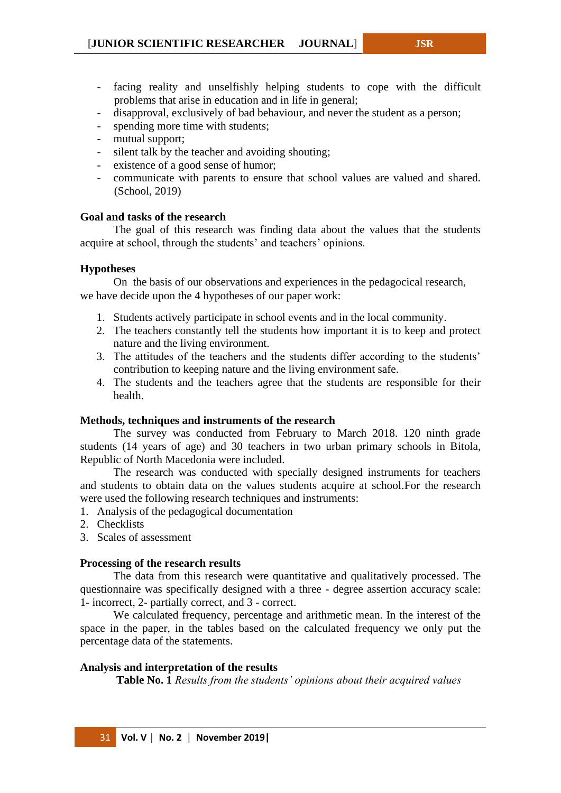- facing reality and unselfishly helping students to cope with the difficult problems that arise in education and in life in general;
- disapproval, exclusively of bad behaviour, and never the student as a person;
- spending more time with students;
- mutual support;
- silent talk by the teacher and avoiding shouting;
- existence of a good sense of humor;
- communicate with parents to ensure that school values are valued and shared. (School, 2019)

### **Goal and tasks of the research**

The goal of this research was finding data about the values that the students acquire at school, through the students' and teachers' opinions.

# **Hypotheses**

On the basis of our observations and experiences in the pedagocical research, we have decide upon the 4 hypotheses of our paper work:

- 1. Students actively participate in school events and in the local community.
- 2. The teachers constantly tell the students how important it is to keep and protect nature and the living environment.
- 3. The attitudes of the teachers and the students differ according to the students' contribution to keeping nature and the living environment safe.
- 4. The students and the teachers agree that the students are responsible for their health.

# **Methods, techniques and instruments of the research**

The survey was conducted from February to March 2018. 120 ninth grade students (14 years of age) and 30 teachers in two urban primary schools in Bitola, Republic of North Macedonia were included.

The research was conducted with specially designed instruments for teachers and students to obtain data on the values students acquire at school.For the research were used the following research techniques and instruments:

- 1. Analysis of the pedagogical documentation
- 2. Checklists
- 3. Scales of assessment

# **Processing of the research results**

The data from this research were quantitative and qualitatively processed. The questionnaire was specifically designed with a three - degree assertion accuracy scale: 1- incorrect, 2- partially correct, and 3 - correct.

We calculated frequency, percentage and arithmetic mean. In the interest of the space in the paper, in the tables based on the calculated frequency we only put the percentage data of the statements.

# **Analysis and interpretation of the results**

**Table No. 1** *Results from the students' opinions about their acquired values*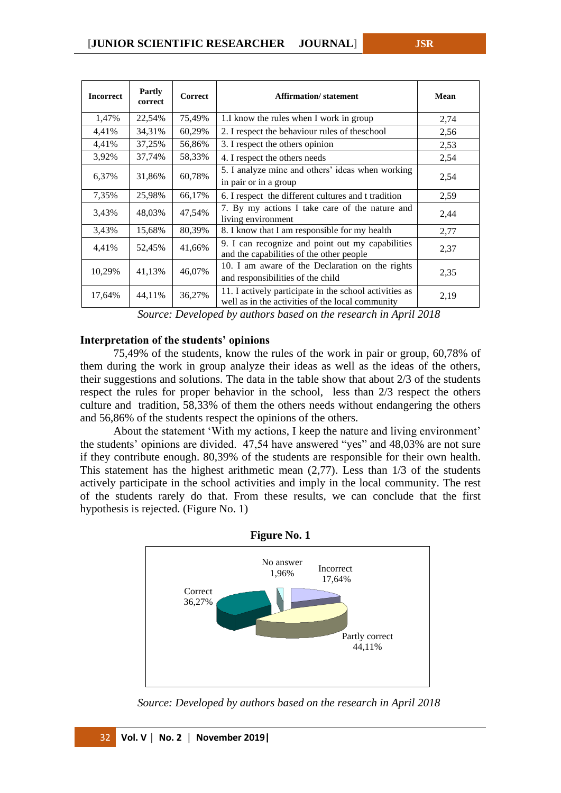| <b>Incorrect</b> | Partly<br>correct | <b>Correct</b> | <b>Affirmation/</b> statement                                                                              | Mean |
|------------------|-------------------|----------------|------------------------------------------------------------------------------------------------------------|------|
| 1,47%            | 22,54%            | 75,49%         | 1. I know the rules when I work in group                                                                   | 2,74 |
| 4,41%            | 34,31%            | 60,29%         | 2. I respect the behaviour rules of theschool                                                              | 2,56 |
| 4,41%            | 37,25%            | 56,86%         | 3. I respect the others opinion                                                                            | 2,53 |
| 3,92%            | 37,74%            | 58,33%         | 4. I respect the others needs                                                                              | 2,54 |
| 6,37%            | 31,86%            | 60,78%         | 5. I analyze mine and others' ideas when working<br>in pair or in a group                                  | 2,54 |
| 7,35%            | 25,98%            | 66,17%         | 6. I respect the different cultures and t tradition                                                        | 2,59 |
| 3,43%            | 48,03%            | 47,54%         | 7. By my actions I take care of the nature and<br>living environment                                       | 2,44 |
| 3,43%            | 15,68%            | 80,39%         | 8. I know that I am responsible for my health                                                              | 2,77 |
| 4,41%            | 52,45%            | 41,66%         | 9. I can recognize and point out my capabilities<br>and the capabilities of the other people               | 2,37 |
| 10,29%           | 41,13%            | 46,07%         | 10. I am aware of the Declaration on the rights<br>and responsibilities of the child                       | 2,35 |
| 17,64%           | 44,11%            | 36,27%         | 11. I actively participate in the school activities as<br>well as in the activities of the local community | 2,19 |

*Source: Developed by authors based on the research in April 2018*

### **Interpretation of the students' opinions**

75,49% of the students, know the rules of the work in pair or group, 60,78% of them during the work in group analyze their ideas as well as the ideas of the others, their suggestions and solutions. The data in the table show that about 2/3 of the students respect the rules for proper behavior in the school, less than 2/3 respect the others culture and tradition, 58,33% of them the others needs without endangering the others and 56,86% of the students respect the opinions of the others.

About the statement 'With my actions, I keep the nature and living environment' the students' opinions are divided. 47,54 have answered "yes" and 48,03% are not sure if they contribute enough. 80,39% of the students are responsible for their own health. This statement has the highest arithmetic mean (2,77). Less than 1/3 of the students actively participate in the school activities and imply in the local community. The rest of the students rarely do that. From these results, we can conclude that the first hypothesis is rejected. (Figure No. 1)





*Source: Developed by authors based on the research in April 2018*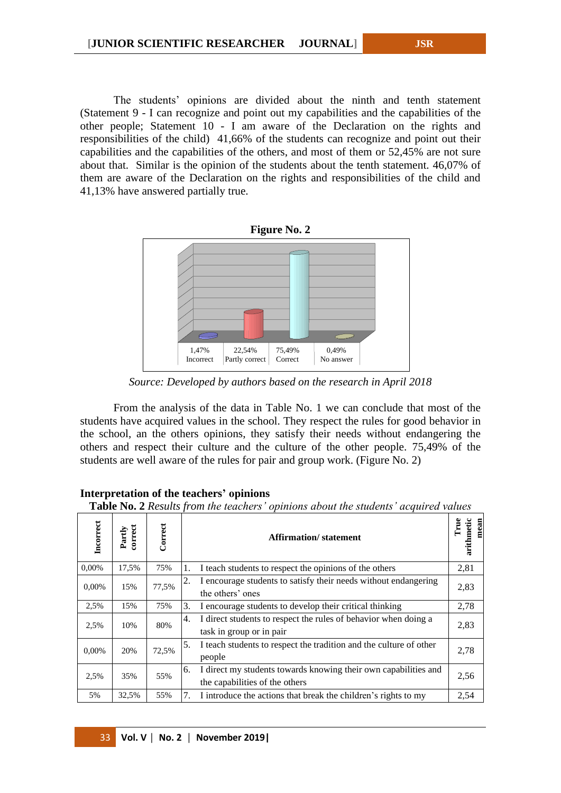The students' opinions are divided about the ninth and tenth statement (Statement 9 - I can recognize and point out my capabilities and the capabilities of the other people; Statement 10 - I am aware of the Declaration on the rights and responsibilities of the child) 41,66% of the students can recognize and point out their capabilities and the capabilities of the others, and most of them or 52,45% are not sure about that. Similar is the opinion of the students about the tenth statement. 46,07% of them are aware of the Declaration on the rights and responsibilities of the child and 41,13% have answered partially true.



*Source: Developed by authors based on the research in April 2018*

From the analysis of the data in Table No. 1 we can conclude that most of the students have acquired values in the school. They respect the rules for good behavior in the school, an the others opinions, they satisfy their needs without endangering the others and respect their culture and the culture of the other people. 75,49% of the students are well aware of the rules for pair and group work. (Figure No. 2)

# **Interpretation of the teachers' opinions**

**Table No. 2** *Results from the teachers' opinions about the students' acquired values*

| Incorrect | correct<br>Partly | Correct | <b>Affirmation/</b> statement                                                                           | arithmetic<br>True<br>mean |
|-----------|-------------------|---------|---------------------------------------------------------------------------------------------------------|----------------------------|
| $0.00\%$  | 17,5%             | 75%     | I teach students to respect the opinions of the others<br>1.                                            | 2,81                       |
| $0,00\%$  | 15%               | 77,5%   | I encourage students to satisfy their needs without endangering<br>the others' ones                     |                            |
| 2,5%      | 15%               | 75%     | 3.<br>I encourage students to develop their critical thinking                                           | 2,78                       |
| 2,5%      | 10%               | 80%     | I direct students to respect the rules of behavior when doing a<br>4.<br>task in group or in pair       | 2,83                       |
| $0.00\%$  | 20%               | 72,5%   | 5.<br>I teach students to respect the tradition and the culture of other<br>people                      | 2,78                       |
| 2,5%      | 35%               | 55%     | I direct my students towards knowing their own capabilities and<br>6.<br>the capabilities of the others | 2,56                       |
| 5%        | 32,5%             | 55%     | 7.<br>I introduce the actions that break the children's rights to my                                    | 2,54                       |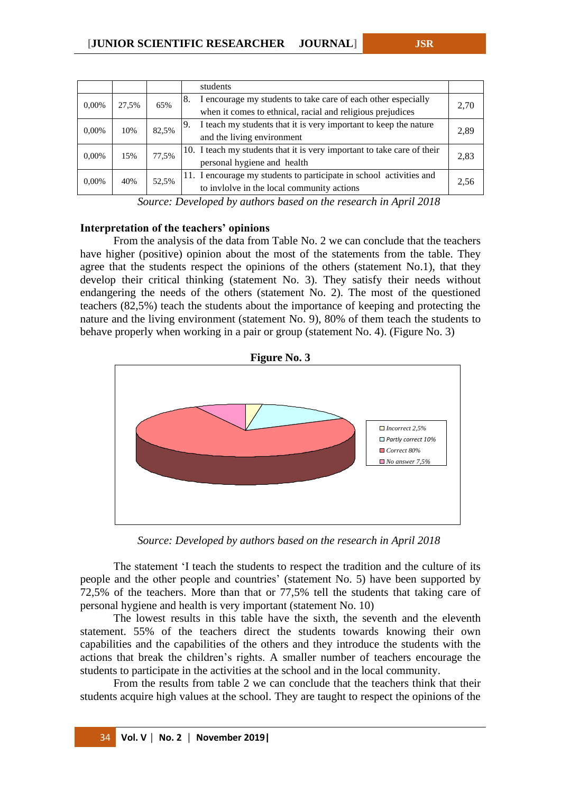|       |       |       |    | students                                                                                                                    |      |
|-------|-------|-------|----|-----------------------------------------------------------------------------------------------------------------------------|------|
| 0,00% | 27,5% | 65%   | 8. | I encourage my students to take care of each other especially<br>when it comes to ethnical, racial and religious prejudices | 2,70 |
| 0,00% | 10%   | 82,5% | 9. | I teach my students that it is very important to keep the nature<br>and the living environment                              | 2,89 |
| 0,00% | 15%   | 77.5% |    | 10. I teach my students that it is very important to take care of their<br>personal hygiene and health                      | 2,83 |
| 0,00% | 40%   | 52.5% |    | 11. I encourage my students to participate in school activities and<br>to invlolve in the local community actions           | 2.56 |

*Source: Developed by authors based on the research in April 2018*

### **Interpretation of the teachers' opinions**

From the analysis of the data from Table No. 2 we can conclude that the teachers have higher (positive) opinion about the most of the statements from the table. They agree that the students respect the opinions of the others (statement No.1), that they develop their critical thinking (statement No. 3). They satisfy their needs without endangering the needs of the others (statement No. 2). The most of the questioned teachers (82,5%) teach the students about the importance of keeping and protecting the nature and the living environment (statement No. 9), 80% of them teach the students to behave properly when working in a pair or group (statement No. 4). (Figure No. 3)



*Source: Developed by authors based on the research in April 2018*

The statement 'I teach the students to respect the tradition and the culture of its people and the other people and countries' (statement No. 5) have been supported by 72,5% of the teachers. More than that or 77,5% tell the students that taking care of personal hygiene and health is very important (statement No. 10)

The lowest results in this table have the sixth, the seventh and the eleventh statement. 55% of the teachers direct the students towards knowing their own capabilities and the capabilities of the others and they introduce the students with the actions that break the children's rights. A smaller number of teachers encourage the students to participate in the activities at the school and in the local community.

From the results from table 2 we can conclude that the teachers think that their students acquire high values at the school. They are taught to respect the opinions of the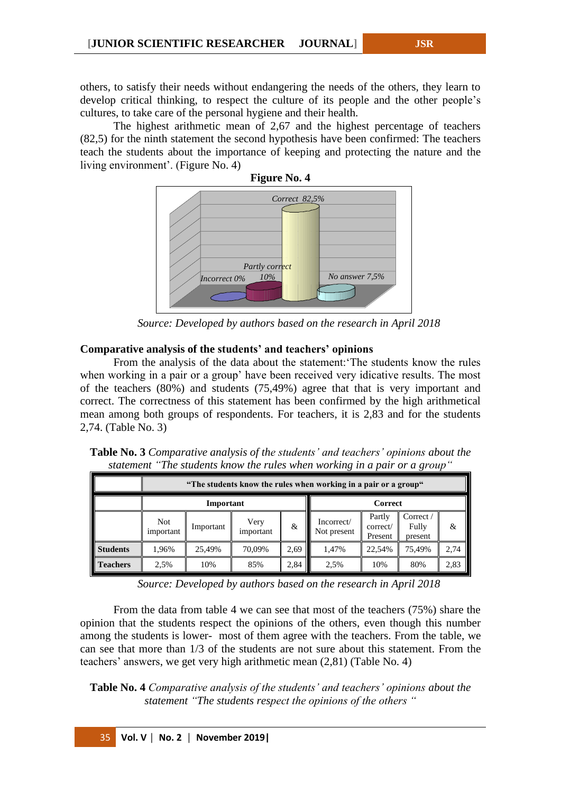others, to satisfy their needs without endangering the needs of the others, they learn to develop critical thinking, to respect the culture of its people and the other people's cultures, to take care of the personal hygiene and their health.

The highest arithmetic mean of 2,67 and the highest percentage of teachers (82,5) for the ninth statement the second hypothesis have been confirmed: The teachers teach the students about the importance of keeping and protecting the nature and the living environment'. (Figure No. 4)



*Source: Developed by authors based on the research in April 2018*

### **Comparative analysis of the students' and teachers' opinions**

From the analysis of the data about the statement:'The students know the rules when working in a pair or a group' have been received very idicative results. The most of the teachers (80%) and students (75,49%) agree that that is very important and correct. The correctness of this statement has been confirmed by the high arithmetical mean among both groups of respondents. For teachers, it is 2,83 and for the students 2,74. (Table No. 3)

| <b>Table No. 3</b> Comparative analysis of the students' and teachers' opinions about the |  |
|-------------------------------------------------------------------------------------------|--|
| statement "The students know the rules when working in a pair or a group"                 |  |

|                 |                  | "The students know the rules when working in a pair or a group" |                   |                |                           |                               |                               |      |  |  |  |  |
|-----------------|------------------|-----------------------------------------------------------------|-------------------|----------------|---------------------------|-------------------------------|-------------------------------|------|--|--|--|--|
|                 |                  | Important                                                       |                   | <b>Correct</b> |                           |                               |                               |      |  |  |  |  |
|                 | Not<br>important | Important                                                       | Very<br>important | &              | Incorrect/<br>Not present | Partly<br>correct/<br>Present | Correct /<br>Fully<br>present | &    |  |  |  |  |
| <b>Students</b> | 1,96%            | 25.49%                                                          | 70.09%            | 2,69           | 1.47%                     | 22.54%                        | 75.49%                        | 2,74 |  |  |  |  |
| <b>Teachers</b> | 2.5%             | 10%                                                             | 85%               | 2,84           | 2,5%                      | 10%                           | 80%                           | 2,83 |  |  |  |  |

*Source: Developed by authors based on the research in April 2018*

From the data from table 4 we can see that most of the teachers (75%) share the opinion that the students respect the opinions of the others, even though this number among the students is lower- most of them agree with the teachers. From the table, we can see that more than 1/3 of the students are not sure about this statement. From the teachers' answers, we get very high arithmetic mean (2,81) (Table No. 4)

**Table No. 4** *Comparative analysis of the students' and teachers' opinions about the statement "The students respect the opinions of the others "*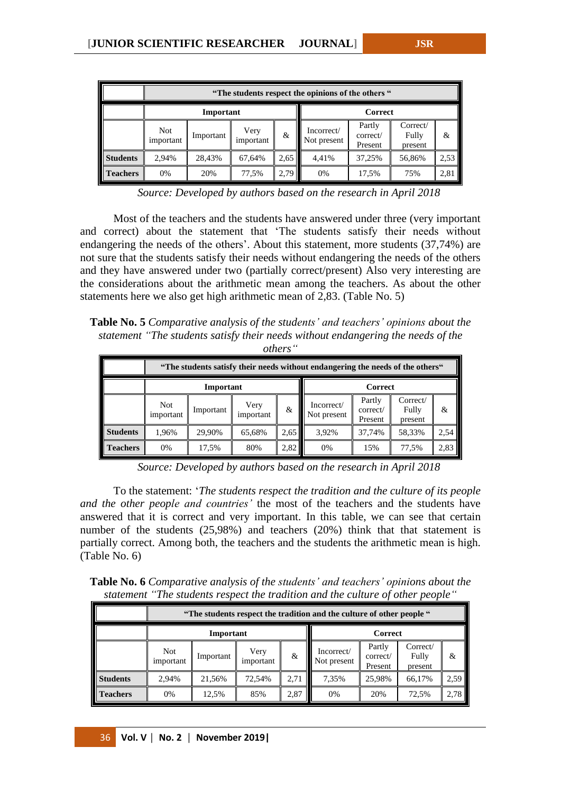|                 |                         | "The students respect the opinions of the others" |                   |      |                           |                               |                              |      |  |  |  |  |
|-----------------|-------------------------|---------------------------------------------------|-------------------|------|---------------------------|-------------------------------|------------------------------|------|--|--|--|--|
|                 |                         | Important                                         |                   |      | <b>Correct</b>            |                               |                              |      |  |  |  |  |
|                 | <b>Not</b><br>important | Important                                         | Very<br>important | &    | Incorrect/<br>Not present | Partly<br>correct/<br>Present | Correct/<br>Fully<br>present | &    |  |  |  |  |
| <b>Students</b> | 2.94%                   | 28,43%                                            | 67,64%            | 2,65 | 4.41%                     | 37,25%                        | 56,86%                       | 2,53 |  |  |  |  |
| <b>Teachers</b> | 0%                      | 20%                                               | 77,5%             | 2,79 | 0%                        | 17,5%                         | 75%                          | 2,81 |  |  |  |  |

*Source: Developed by authors based on the research in April 2018*

Most of the teachers and the students have answered under three (very important and correct) about the statement that 'The students satisfy their needs without endangering the needs of the others'. About this statement, more students (37,74%) are not sure that the students satisfy their needs without endangering the needs of the others and they have answered under two (partially correct/present) Also very interesting are the considerations about the arithmetic mean among the teachers. As about the other statements here we also get high arithmetic mean of 2,83. (Table No. 5)

**Table No. 5** *Comparative analysis of the students' and teachers' opinions about the statement "The students satisfy their needs without endangering the needs of the others"*

|                 | $U \cup U \subset V$                                                           |           |                   |                |                           |                               |                              |      |  |  |  |  |
|-----------------|--------------------------------------------------------------------------------|-----------|-------------------|----------------|---------------------------|-------------------------------|------------------------------|------|--|--|--|--|
|                 | "The students satisfy their needs without endangering the needs of the others" |           |                   |                |                           |                               |                              |      |  |  |  |  |
|                 |                                                                                | Important |                   | <b>Correct</b> |                           |                               |                              |      |  |  |  |  |
|                 | Not<br>important                                                               | Important | Very<br>important | &              | Incorrect/<br>Not present | Partly<br>correct/<br>Present | Correct/<br>Fully<br>present | &    |  |  |  |  |
| <b>Students</b> | 1.96%                                                                          | 29,90%    | 65,68%            | 2,65           | 3,92%                     | 37,74%                        | 58,33%                       | 2,54 |  |  |  |  |
| <b>Teachers</b> | 0%                                                                             | 17,5%     | 80%               | 2,82           | 0%                        | 15%                           | 77,5%                        | 2,83 |  |  |  |  |

*Source: Developed by authors based on the research in April 2018*

To the statement: '*The students respect the tradition and the culture of its people and the other people and countries'* the most of the teachers and the students have answered that it is correct and very important. In this table, we can see that certain number of the students (25,98%) and teachers (20%) think that that statement is partially correct. Among both, the teachers and the students the arithmetic mean is high. (Table No. 6)

**Table No. 6** *Comparative analysis of the students' and teachers' opinions about the statement "The students respect the tradition and the culture of other people"*

|                 | "The students respect the tradition and the culture of other people" |           |                   |      |                           |                               |                              |      |  |  |  |  |
|-----------------|----------------------------------------------------------------------|-----------|-------------------|------|---------------------------|-------------------------------|------------------------------|------|--|--|--|--|
|                 | <b>Correct</b>                                                       |           |                   |      |                           |                               |                              |      |  |  |  |  |
|                 | <b>Not</b><br>important                                              | Important | Very<br>important | &    | Incorrect/<br>Not present | Partly<br>correct/<br>Present | Correct/<br>Fully<br>present | &    |  |  |  |  |
| <b>Students</b> | 2,94%                                                                | 21,56%    | 72,54%            | 2,71 | 7,35%                     | 25,98%                        | 66,17%                       | 2,59 |  |  |  |  |
| <b>Teachers</b> | 0%                                                                   | 12.5%     | 85%               | 2,87 | 0%                        | 20%                           | 72.5%                        | 2,78 |  |  |  |  |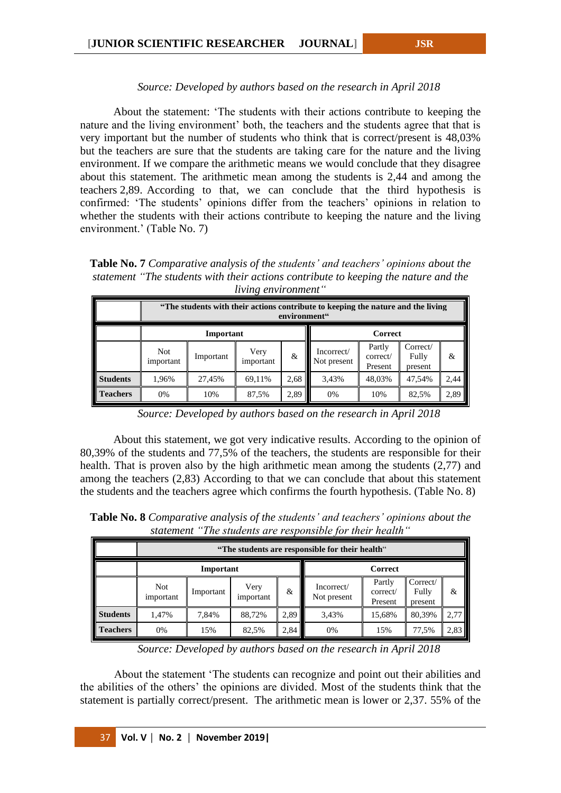#### *Source: Developed by authors based on the research in April 2018*

About the statement: 'The students with their actions contribute to keeping the nature and the living environment' both, the teachers and the students agree that that is very important but the number of students who think that is correct/present is 48,03% but the teachers are sure that the students are taking care for the nature and the living environment. If we compare the arithmetic means we would conclude that they disagree about this statement. The arithmetic mean among the students is 2,44 and among the teachers 2,89. According to that, we can conclude that the third hypothesis is confirmed: 'The students' opinions differ from the teachers' opinions in relation to whether the students with their actions contribute to keeping the nature and the living environment.' (Table No. 7)

**Table No. 7** *Comparative analysis of the students' and teachers' opinions about the statement "The students with their actions contribute to keeping the nature and the living environment"*

|                 |                         | "The students with their actions contribute to keeping the nature and the living<br>environment" |                   |      |                           |                               |                              |      |  |  |  |
|-----------------|-------------------------|--------------------------------------------------------------------------------------------------|-------------------|------|---------------------------|-------------------------------|------------------------------|------|--|--|--|
|                 |                         | Important                                                                                        |                   |      | Correct                   |                               |                              |      |  |  |  |
|                 | <b>Not</b><br>important | Important                                                                                        | Very<br>important | &    | Incorrect/<br>Not present | Partly<br>correct/<br>Present | Correct/<br>Fully<br>present | &    |  |  |  |
| <b>Students</b> | 1,96%                   | 27.45%                                                                                           | 69,11%            | 2,68 | 3,43%                     | 48,03%                        | 47,54%                       | 2.44 |  |  |  |
| <b>Teachers</b> | 0%                      | 10%                                                                                              | 87,5%             | 2,89 | 0%                        | 10%                           | 82,5%                        | 2,89 |  |  |  |

*Source: Developed by authors based on the research in April 2018*

About this statement, we got very indicative results. According to the opinion of 80,39% of the students and 77,5% of the teachers, the students are responsible for their health. That is proven also by the high arithmetic mean among the students (2,77) and among the teachers (2,83) According to that we can conclude that about this statement the students and the teachers agree which confirms the fourth hypothesis. (Table No. 8)

**Table No. 8** *Comparative analysis of the students' and teachers' opinions about the statement "The students are responsible for their health"*

|                 | "The students are responsible for their health" |           |                   |         |                           |                               |                              |      |  |  |  |
|-----------------|-------------------------------------------------|-----------|-------------------|---------|---------------------------|-------------------------------|------------------------------|------|--|--|--|
|                 |                                                 | Important |                   | Correct |                           |                               |                              |      |  |  |  |
|                 | Not.<br>important                               | Important | Very<br>important | &       | Incorrect/<br>Not present | Partly<br>correct/<br>Present | Correct/<br>Fully<br>present | &    |  |  |  |
| <b>Students</b> | 1.47%                                           | 7.84%     | 88,72%            | 2,89    | 3,43%                     | 15.68%                        | 80.39%                       | 2,77 |  |  |  |
| <b>Teachers</b> | 0%                                              | 15%       | 82,5%             | 2,84    | 0%                        | 15%                           | 77,5%                        | 2,83 |  |  |  |

*Source: Developed by authors based on the research in April 2018*

About the statement 'The students can recognize and point out their abilities and the abilities of the others' the opinions are divided. Most of the students think that the statement is partially correct/present. The arithmetic mean is lower or 2,37. 55% of the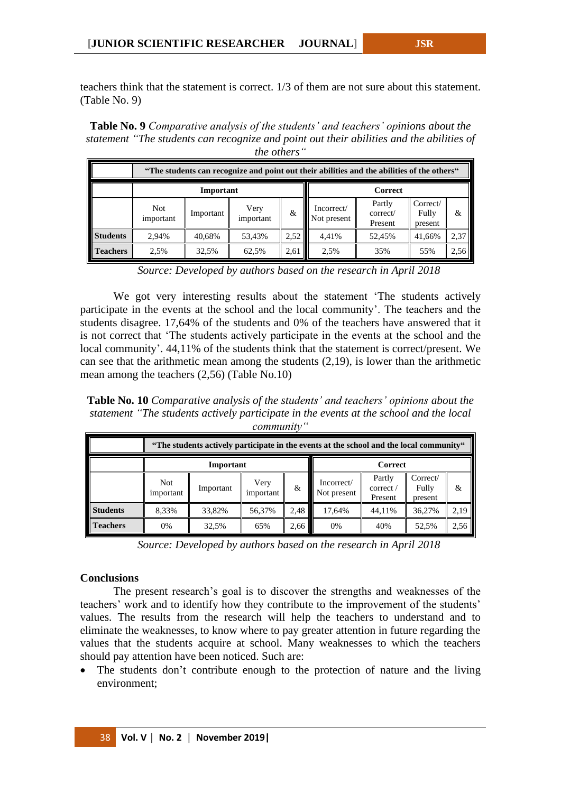teachers think that the statement is correct. 1/3 of them are not sure about this statement. (Table No. 9)

**Table No. 9** *Comparative analysis of the students' and teachers' opinions about the statement "The students can recognize and point out their abilities and the abilities of the others"*

|                 | "The students can recognize and point out their abilities and the abilities of the others" |           |                   |      |                           |                               |                              |      |  |  |  |
|-----------------|--------------------------------------------------------------------------------------------|-----------|-------------------|------|---------------------------|-------------------------------|------------------------------|------|--|--|--|
|                 |                                                                                            | Important | <b>Correct</b>    |      |                           |                               |                              |      |  |  |  |
|                 | <b>Not</b><br>important                                                                    | Important | Very<br>important | &    | Incorrect/<br>Not present | Partly<br>correct/<br>Present | Correct/<br>Fully<br>present | &    |  |  |  |
| <b>Students</b> | 2.94%                                                                                      | 40,68%    | 53,43%            | 2,52 | 4,41%                     | 52,45%                        | 41,66%                       | 2,37 |  |  |  |
| <b>Teachers</b> | 2,5%                                                                                       | 32,5%     | 62,5%             | 2,61 | 2,5%                      | 35%                           | 55%                          | 2,56 |  |  |  |

*Source: Developed by authors based on the research in April 2018*

We got very interesting results about the statement 'The students actively participate in the events at the school and the local community'. The teachers and the students disagree. 17,64% of the students and 0% of the teachers have answered that it is not correct that 'The students actively participate in the events at the school and the local community'. 44,11% of the students think that the statement is correct/present. We can see that the arithmetic mean among the students (2,19), is lower than the arithmetic mean among the teachers (2,56) (Table No.10)

**Table No. 10** *Comparative analysis of the students' and teachers' opinions about the statement "The students actively participate in the events at the school and the local community"*

|                 | "The students actively participate in the events at the school and the local community" |           |                   |                |                           |                               |                              |      |  |  |  |
|-----------------|-----------------------------------------------------------------------------------------|-----------|-------------------|----------------|---------------------------|-------------------------------|------------------------------|------|--|--|--|
|                 |                                                                                         | Important |                   | <b>Correct</b> |                           |                               |                              |      |  |  |  |
|                 | Not.<br>important                                                                       | Important | Very<br>important | &              | Incorrect/<br>Not present | Partly<br>correct/<br>Present | Correct/<br>Fully<br>present | &    |  |  |  |
| <b>Students</b> | 8,33%                                                                                   | 33,82%    | 56,37%            | 2,48           | 17,64%                    | 44.11%                        | 36,27%                       | 2,19 |  |  |  |
| <b>Teachers</b> | 0%                                                                                      | 32,5%     | 65%               | 2,66           | $0\%$                     | 40%                           | 52,5%                        | 2,56 |  |  |  |

*Source: Developed by authors based on the research in April 2018*

### **Conclusions**

The present research's goal is to discover the strengths and weaknesses of the teachers' work and to identify how they contribute to the improvement of the students' values. The results from the research will help the teachers to understand and to eliminate the weaknesses, to know where to pay greater attention in future regarding the values that the students acquire at school. Many weaknesses to which the teachers should pay attention have been noticed. Such are:

• The students don't contribute enough to the protection of nature and the living environment;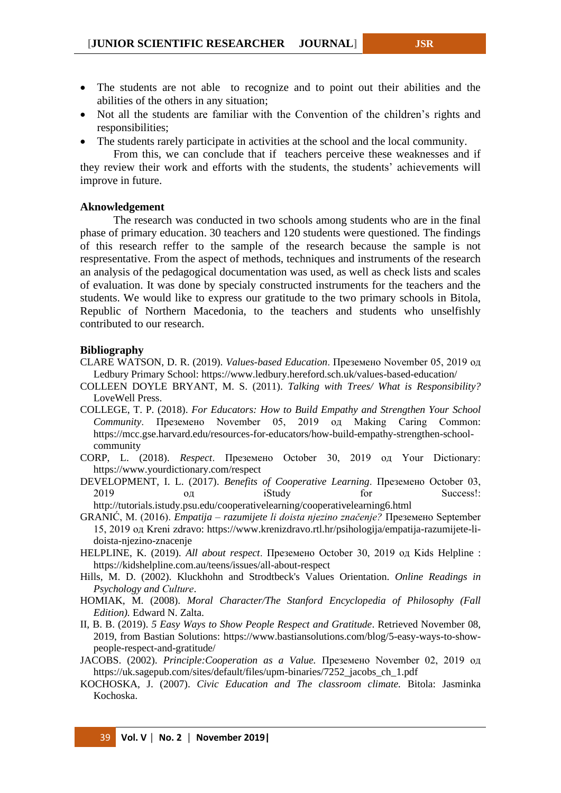- The students are not able to recognize and to point out their abilities and the abilities of the others in any situation;
- Not all the students are familiar with the Convention of the children's rights and responsibilities;
- The students rarely participate in activities at the school and the local community.

From this, we can conclude that if teachers perceive these weaknesses and if they review their work and efforts with the students, the students' achievements will improve in future.

### **Aknowledgement**

The research was conducted in two schools among students who are in the final phase of primary education. 30 teachers and 120 students were questioned. The findings of this research reffer to the sample of the research because the sample is not respresentative. From the aspect of methods, techniques and instruments of the research an analysis of the pedagogical documentation was used, as well as check lists and scales of evaluation. It was done by specialy constructed instruments for the teachers and the students. We would like to express our gratitude to the two primary schools in Bitola, Republic of Northern Macedonia, to the teachers and students who unselfishly contributed to our research.

### **Bibliography**

- CLARE WATSON, D. R. (2019). *Values-based Education*. Преземено November 05, 2019 од Ledbury Primary School: https://www.ledbury.hereford.sch.uk/values-based-education/
- COLLEEN DOYLE BRYANT, M. S. (2011). *Talking with Trees/ What is Responsibility?* LoveWell Press.
- COLLEGE, T. P. (2018). *For Educators: How to Build Empathy and Strengthen Your School Community*. Преземено November 05, 2019 од Making Caring Common: https://mcc.gse.harvard.edu/resources-for-educators/how-build-empathy-strengthen-schoolcommunity
- CORP, L. (2018). *Respect*. Преземено October 30, 2019 од Your Dictionary: https://www.yourdictionary.com/respect
- DEVELOPMENT, I. L. (2017). *Benefits of Cooperative Learning*. Преземено October 03, 2019 од iStudy for Success!: http://tutorials.istudy.psu.edu/cooperativelearning/cooperativelearning6.html
- GRANIĆ, M. (2016). *Empatija – razumijete li doista njezino značenje?* Преземено September 15, 2019 од Kreni zdravo: https://www.krenizdravo.rtl.hr/psihologija/empatija-razumijete-lidoista-njezino-znacenje
- HELPLINE, K. (2019). *All about respect*. Преземено October 30, 2019 од Kids Helpline : https://kidshelpline.com.au/teens/issues/all-about-respect
- Hills, M. D. (2002). Kluckhohn and Strodtbeck's Values Orientation. *Online Readings in Psychology and Culturе*.
- HOMIAK, M. (2008). *Moral Character/The Stanford Encyclopedia of Philosophy (Fall Edition).* Edward N. Zalta.
- II, B. B. (2019). *5 Easy Ways to Show People Respect and Gratitude*. Retrieved November 08, 2019, from Bastian Solutions: https://www.bastiansolutions.com/blog/5-easy-ways-to-showpeople-respect-and-gratitude/
- JACOBS. (2002). *Principle:Cooperation as a Value.* Преземено November 02, 2019 од https://uk.sagepub.com/sites/default/files/upm-binaries/7252\_jacobs\_ch\_1.pdf
- KOCHOSKA, J. (2007). *Civic Education and The classroom climate.* Bitola: Jasminka Kochoska.